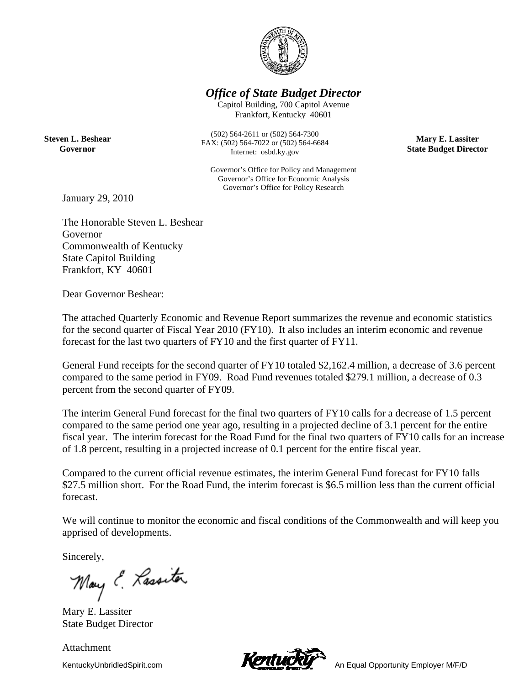

*Office of State Budget Director* 

Capitol Building, 700 Capitol Avenue Frankfort, Kentucky 40601

**Steven L. Beshear Governor** 

(502) 564-2611 or (502) 564-7300 FAX: (502) 564-7022 or (502) 564-6684 Internet: osbd.ky.gov

**Mary E. Lassiter State Budget Director** 

Governor's Office for Policy and Management Governor's Office for Economic Analysis Governor's Office for Policy Research

January 29, 2010

The Honorable Steven L. Beshear Governor Commonwealth of Kentucky State Capitol Building Frankfort, KY 40601

Dear Governor Beshear:

The attached Quarterly Economic and Revenue Report summarizes the revenue and economic statistics for the second quarter of Fiscal Year 2010 (FY10). It also includes an interim economic and revenue forecast for the last two quarters of FY10 and the first quarter of FY11.

General Fund receipts for the second quarter of FY10 totaled \$2,162.4 million, a decrease of 3.6 percent compared to the same period in FY09. Road Fund revenues totaled \$279.1 million, a decrease of 0.3 percent from the second quarter of FY09.

The interim General Fund forecast for the final two quarters of FY10 calls for a decrease of 1.5 percent compared to the same period one year ago, resulting in a projected decline of 3.1 percent for the entire fiscal year. The interim forecast for the Road Fund for the final two quarters of FY10 calls for an increase of 1.8 percent, resulting in a projected increase of 0.1 percent for the entire fiscal year.

Compared to the current official revenue estimates, the interim General Fund forecast for FY10 falls \$27.5 million short. For the Road Fund, the interim forecast is \$6.5 million less than the current official forecast.

We will continue to monitor the economic and fiscal conditions of the Commonwealth and will keep you apprised of developments.

Sincerely,<br>May E. Lassiter

Mary E. Lassiter State Budget Director

Attachment

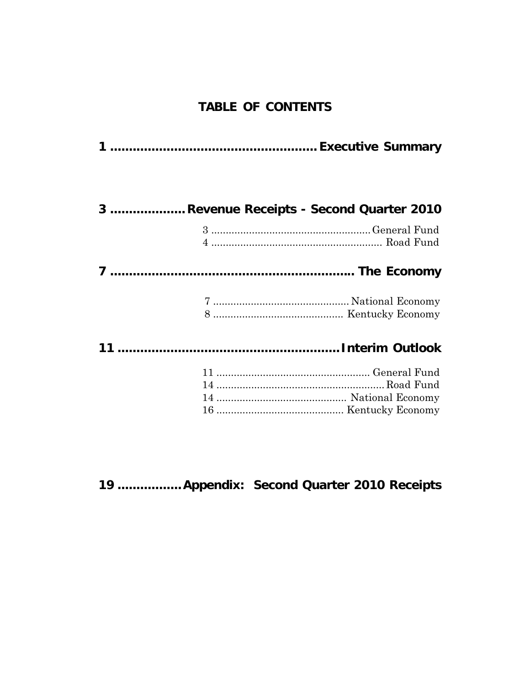## TABLE OF CONTENTS

| 3  Revenue Receipts - Second Quarter 2010 |  |
|-------------------------------------------|--|
|                                           |  |
|                                           |  |
|                                           |  |
|                                           |  |
|                                           |  |

19 ................. Appendix: Second Quarter 2010 Receipts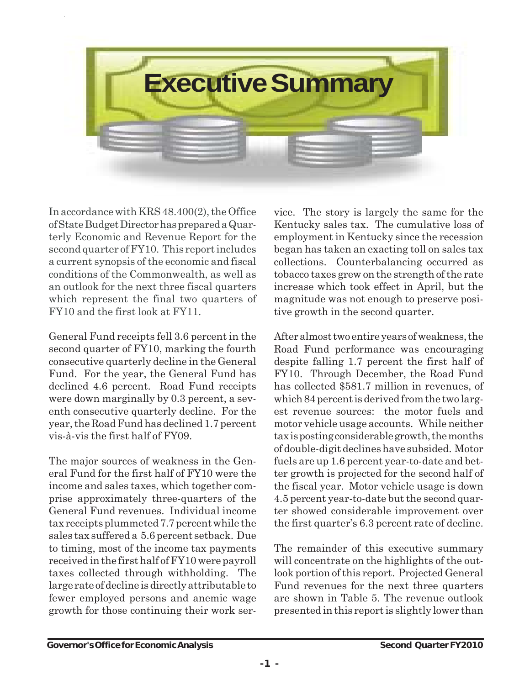

In accordance with KRS 48.400(2), the Office of State Budget Director has prepared a Quarterly Economic and Revenue Report for the second quarter of FY10. This report includes a current synopsis of the economic and fiscal conditions of the Commonwealth, as well as an outlook for the next three fiscal quarters which represent the final two quarters of FY10 and the first look at FY11.

General Fund receipts fell 3.6 percent in the second quarter of FY10, marking the fourth consecutive quarterly decline in the General Fund. For the year, the General Fund has declined 4.6 percent. Road Fund receipts were down marginally by 0.3 percent, a seventh consecutive quarterly decline. For the year, the Road Fund has declined 1.7 percent vis-à-vis the first half of FY09.

The major sources of weakness in the General Fund for the first half of FY10 were the income and sales taxes, which together comprise approximately three-quarters of the General Fund revenues. Individual income tax receipts plummeted 7.7 percent while the sales tax suffered a 5.6 percent setback. Due to timing, most of the income tax payments received in the first half of FY10 were payroll taxes collected through withholding. The large rate of decline is directly attributable to fewer employed persons and anemic wage growth for those continuing their work service. The story is largely the same for the Kentucky sales tax. The cumulative loss of employment in Kentucky since the recession began has taken an exacting toll on sales tax collections. Counterbalancing occurred as tobacco taxes grew on the strength of the rate increase which took effect in April, but the magnitude was not enough to preserve positive growth in the second quarter.

After almost two entire years of weakness, the Road Fund performance was encouraging despite falling 1.7 percent the first half of FY10. Through December, the Road Fund has collected \$581.7 million in revenues, of which 84 percent is derived from the two largest revenue sources: the motor fuels and motor vehicle usage accounts. While neither tax is posting considerable growth, the months of double-digit declines have subsided. Motor fuels are up 1.6 percent year-to-date and better growth is projected for the second half of the fiscal year. Motor vehicle usage is down 4.5 percent year-to-date but the second quarter showed considerable improvement over the first quarter's 6.3 percent rate of decline.

The remainder of this executive summary will concentrate on the highlights of the outlook portion of this report. Projected General Fund revenues for the next three quarters are shown in Table 5. The revenue outlook presented in this report is slightly lower than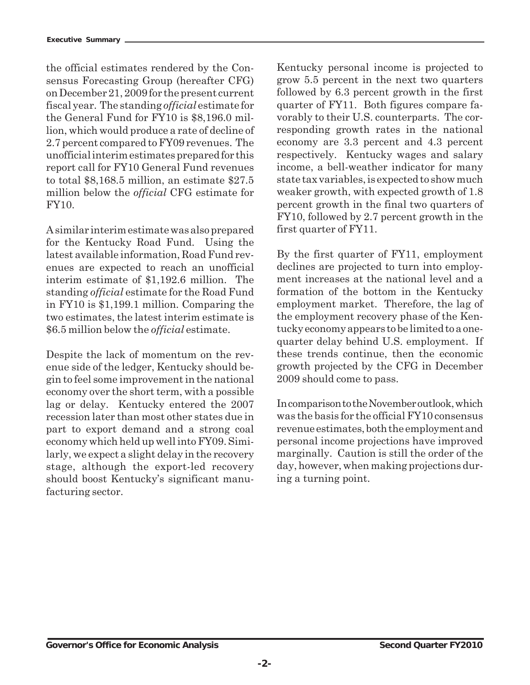the official estimates rendered by the Consensus Forecasting Group (hereafter CFG) on December 21, 2009 for the present current fiscal year. The standing *official* estimate for the General Fund for FY10 is \$8,196.0 million, which would produce a rate of decline of 2.7 percent compared to FY09 revenues. The unofficial interim estimates prepared for this report call for FY10 General Fund revenues to total \$8,168.5 million, an estimate \$27.5 million below the *official* CFG estimate for FY10.

A similar interim estimate was also prepared for the Kentucky Road Fund. Using the latest available information, Road Fund revenues are expected to reach an unofficial interim estimate of \$1,192.6 million. The standing *official* estimate for the Road Fund in FY10 is \$1,199.1 million. Comparing the two estimates, the latest interim estimate is \$6.5 million below the *official* estimate.

Despite the lack of momentum on the revenue side of the ledger, Kentucky should begin to feel some improvement in the national economy over the short term, with a possible lag or delay. Kentucky entered the 2007 recession later than most other states due in part to export demand and a strong coal economy which held up well into FY09. Similarly, we expect a slight delay in the recovery stage, although the export-led recovery should boost Kentucky's significant manufacturing sector.

Kentucky personal income is projected to grow 5.5 percent in the next two quarters followed by 6.3 percent growth in the first quarter of FY11. Both figures compare favorably to their U.S. counterparts. The corresponding growth rates in the national economy are 3.3 percent and 4.3 percent respectively. Kentucky wages and salary income, a bell-weather indicator for many state tax variables, is expected to show much weaker growth, with expected growth of 1.8 percent growth in the final two quarters of FY10, followed by 2.7 percent growth in the first quarter of FY11.

By the first quarter of FY11, employment declines are projected to turn into employment increases at the national level and a formation of the bottom in the Kentucky employment market. Therefore, the lag of the employment recovery phase of the Kentucky economy appears to be limited to a onequarter delay behind U.S. employment. If these trends continue, then the economic growth projected by the CFG in December 2009 should come to pass.

In comparison to the November outlook, which was the basis for the official FY10 consensus revenue estimates, both the employment and personal income projections have improved marginally. Caution is still the order of the day, however, when making projections during a turning point.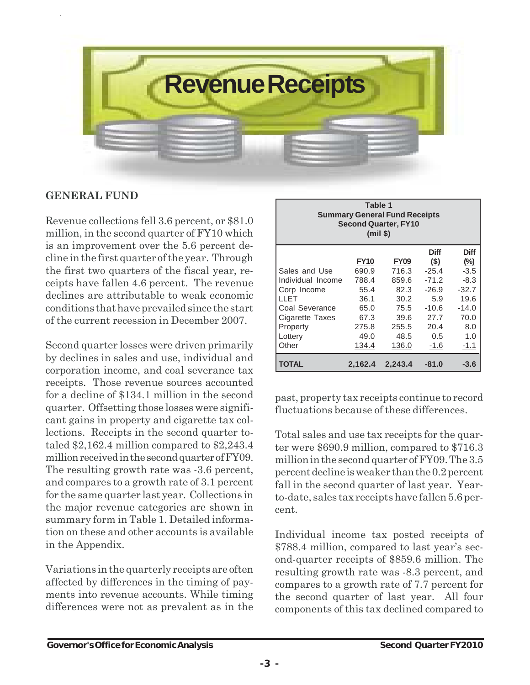

#### **GENERAL FUND**

Revenue collections fell 3.6 percent, or \$81.0 million, in the second quarter of FY10 which is an improvement over the 5.6 percent decline in the first quarter of the year. Through the first two quarters of the fiscal year, receipts have fallen 4.6 percent. The revenue declines are attributable to weak economic conditions that have prevailed since the start of the current recession in December 2007.

Second quarter losses were driven primarily by declines in sales and use, individual and corporation income, and coal severance tax receipts. Those revenue sources accounted for a decline of \$134.1 million in the second quarter. Offsetting those losses were significant gains in property and cigarette tax collections. Receipts in the second quarter totaled \$2,162.4 million compared to \$2,243.4 million received in the second quarter of FY09. The resulting growth rate was -3.6 percent, and compares to a growth rate of 3.1 percent for the same quarter last year. Collections in the major revenue categories are shown in summary form in Table 1. Detailed information on these and other accounts is available in the Appendix.

Variations in the quarterly receipts are often affected by differences in the timing of payments into revenue accounts. While timing differences were not as prevalent as in the

| Table 1<br><b>Summary General Fund Receipts</b><br><b>Second Quarter, FY10</b><br>$(mil \$ |             |             |              |             |  |  |  |  |
|--------------------------------------------------------------------------------------------|-------------|-------------|--------------|-------------|--|--|--|--|
|                                                                                            |             |             | <b>Diff</b>  | <b>Diff</b> |  |  |  |  |
|                                                                                            | <b>FY10</b> | <b>FY09</b> | $\mathbf{B}$ | <u>(%)</u>  |  |  |  |  |
| Sales and Use                                                                              | 690.9       | 716.3       | $-25.4$      | $-3.5$      |  |  |  |  |
| Individual Income                                                                          | 788.4       | 859.6       | $-71.2$      | $-8.3$      |  |  |  |  |
| Corp Income                                                                                | 55.4        | 82.3        | $-26.9$      | $-32.7$     |  |  |  |  |
| <b>LLET</b>                                                                                | 36.1        | 30.2        | 5.9          | 19.6        |  |  |  |  |
| l Coal Severance                                                                           | 65.0        | 75.5        | $-10.6$      | $-14.0$     |  |  |  |  |
| <b>Cigarette Taxes</b>                                                                     | 67.3        | 39.6        | 27.7         | 70.0        |  |  |  |  |
| Property                                                                                   | 275.8       | 255.5       | 20.4         | 8.0         |  |  |  |  |
| Lottery                                                                                    | 49.0        | 48.5        | 0.5          | 1.0         |  |  |  |  |
| Other                                                                                      | 134.4       | 136.0       | -1.6         | -1.1        |  |  |  |  |
| <b>TOTAL</b><br>-81.0<br>2,162.4<br>2,243.4<br>-3.6                                        |             |             |              |             |  |  |  |  |

past, property tax receipts continue to record fluctuations because of these differences.

Total sales and use tax receipts for the quarter were \$690.9 million, compared to \$716.3 million in the second quarter of FY09. The 3.5 percent decline is weaker than the 0.2 percent fall in the second quarter of last year. Yearto-date, sales tax receipts have fallen 5.6 percent.

Individual income tax posted receipts of \$788.4 million, compared to last year's second-quarter receipts of \$859.6 million. The resulting growth rate was -8.3 percent, and compares to a growth rate of 7.7 percent for the second quarter of last year. All four components of this tax declined compared to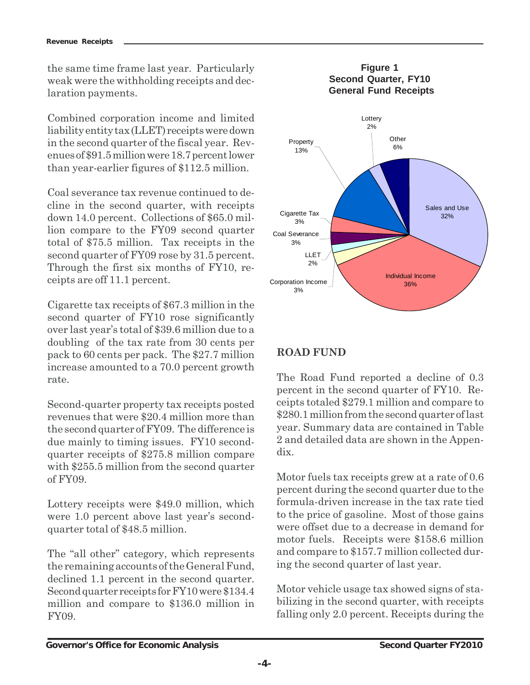the same time frame last year. Particularly weak were the withholding receipts and declaration payments.

Combined corporation income and limited liability entity tax (LLET) receipts were down in the second quarter of the fiscal year. Revenues of \$91.5 million were 18.7 percent lower than year-earlier figures of \$112.5 million.

Coal severance tax revenue continued to decline in the second quarter, with receipts down 14.0 percent. Collections of \$65.0 million compare to the FY09 second quarter total of \$75.5 million. Tax receipts in the second quarter of FY09 rose by 31.5 percent. Through the first six months of FY10, receipts are off 11.1 percent.

Cigarette tax receipts of \$67.3 million in the second quarter of FY10 rose significantly over last year's total of \$39.6 million due to a doubling of the tax rate from 30 cents per pack to 60 cents per pack. The \$27.7 million increase amounted to a 70.0 percent growth rate.

Second-quarter property tax receipts posted revenues that were \$20.4 million more than the second quarter of FY09. The difference is due mainly to timing issues. FY10 secondquarter receipts of \$275.8 million compare with \$255.5 million from the second quarter of FY09.

Lottery receipts were \$49.0 million, which were 1.0 percent above last year's secondquarter total of \$48.5 million.

The "all other" category, which represents the remaining accounts of the General Fund, declined 1.1 percent in the second quarter. Second quarter receipts for FY10 were \$134.4 million and compare to \$136.0 million in FY09.



### **ROAD FUND**

The Road Fund reported a decline of 0.3 percent in the second quarter of FY10. Receipts totaled \$279.1 million and compare to \$280.1 million from the second quarter of last year. Summary data are contained in Table 2 and detailed data are shown in the Appendix.

Motor fuels tax receipts grew at a rate of 0.6 percent during the second quarter due to the formula-driven increase in the tax rate tied to the price of gasoline. Most of those gains were offset due to a decrease in demand for motor fuels. Receipts were \$158.6 million and compare to \$157.7 million collected during the second quarter of last year.

Motor vehicle usage tax showed signs of stabilizing in the second quarter, with receipts falling only 2.0 percent. Receipts during the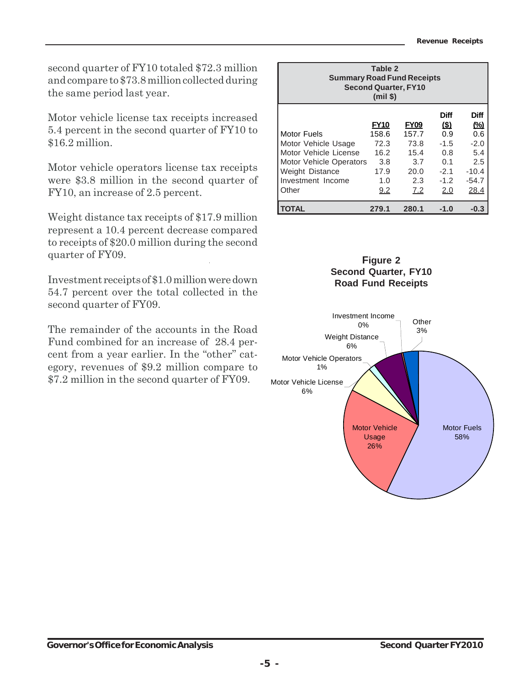second quarter of FY10 totaled \$72.3 million and compare to \$73.8 million collected during the same period last year.

Weight distance tax receipts of \$17.9 million represent a 10.4 percent decrease compared to receipts of \$20.0 million during the second quarter of FY09.

Investment receipts of \$1.0 million were down 54.7 percent over the total collected in the second quarter of FY09.

The remainder of the accounts in the Road Fund combined for an increase of 28.4 percent from a year earlier. In the "other" category, revenues of \$9.2 million compare to \$7.2 million in the second quarter of FY09.

| second quarter of FY10 totaled \$72.3 million<br>and compare to \$73.8 million collected during<br>the same period last year.    | Table 2<br><b>Summary Road Fund Receipts</b><br><b>Second Quarter, FY10</b><br>$(mil \$ |                                      |                                   |                                              |                                            |
|----------------------------------------------------------------------------------------------------------------------------------|-----------------------------------------------------------------------------------------|--------------------------------------|-----------------------------------|----------------------------------------------|--------------------------------------------|
| Motor vehicle license tax receipts increased<br>5.4 percent in the second quarter of FY10 to<br>$$16.2$ million.                 | Motor Fuels<br>Motor Vehicle Usage<br>Motor Vehicle License                             | <b>FY10</b><br>158.6<br>72.3<br>16.2 | <b>FY09</b><br>157.7<br>73.8      | <b>Diff</b><br>$\mathbf{D}$<br>0.9<br>$-1.5$ | <b>Diff</b><br><u>(%)</u><br>0.6<br>$-2.0$ |
| Motor vehicle operators license tax receipts<br>were \$3.8 million in the second quarter of<br>FY10, an increase of 2.5 percent. | Motor Vehicle Operators<br>Weight Distance<br>Investment Income<br>Other                | 3.8<br>17.9<br>1.0<br>9.2            | 15.4<br>3.7<br>20.0<br>2.3<br>7.2 | 0.8<br>0.1<br>$-2.1$<br>$-1.2$<br>2.0        | 5.4<br>2.5<br>$-10.4$<br>$-54.7$<br>28.4   |
| $\mathbf{1}$<br>$\cdot$ $\cdot$ $\cdot$ $\cdot$ $\cdot$ $\cdot$ $\cdot$ $\cdot$                                                  | <b>TOTAL</b>                                                                            | 279.1                                | 280.1                             | $-1.0$                                       | $-0.3$                                     |



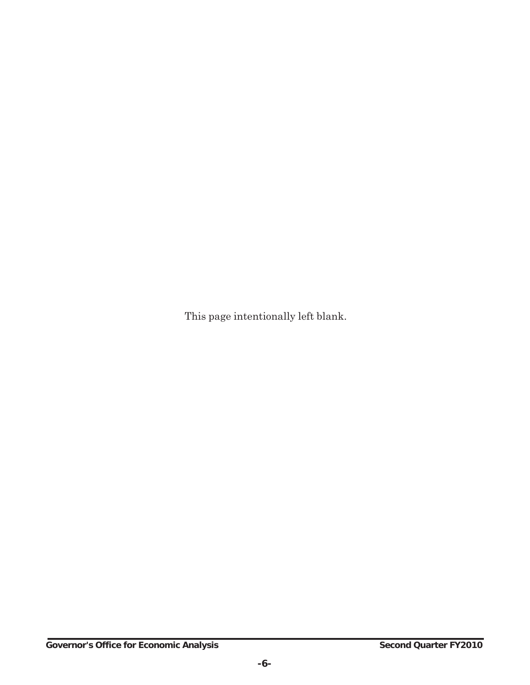This page intentionally left blank.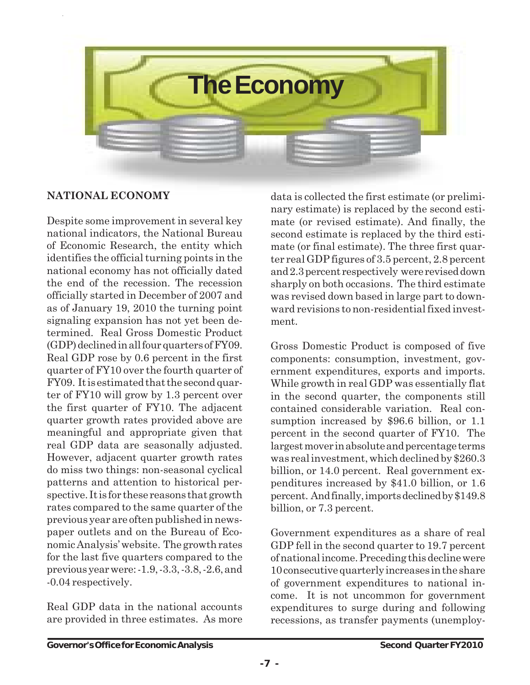

#### **NATIONAL ECONOMY**

Despite some improvement in several key national indicators, the National Bureau of Economic Research, the entity which identifies the official turning points in the national economy has not officially dated the end of the recession. The recession officially started in December of 2007 and as of January 19, 2010 the turning point signaling expansion has not yet been determined. Real Gross Domestic Product (GDP) declined in all four quarters of FY09. Real GDP rose by 0.6 percent in the first quarter of FY10 over the fourth quarter of FY09. It is estimated that the second quarter of FY10 will grow by 1.3 percent over the first quarter of FY10. The adjacent quarter growth rates provided above are meaningful and appropriate given that real GDP data are seasonally adjusted. However, adjacent quarter growth rates do miss two things: non-seasonal cyclical patterns and attention to historical perspective. It is for these reasons that growth rates compared to the same quarter of the previous year are often published in newspaper outlets and on the Bureau of Economic Analysis' website. The growth rates for the last five quarters compared to the previous year were: -1.9, -3.3, -3.8, -2.6, and -0.04 respectively.

Real GDP data in the national accounts are provided in three estimates. As more data is collected the first estimate (or preliminary estimate) is replaced by the second estimate (or revised estimate). And finally, the second estimate is replaced by the third estimate (or final estimate). The three first quarter real GDP figures of 3.5 percent, 2.8 percent and 2.3 percent respectively were revised down sharply on both occasions. The third estimate was revised down based in large part to downward revisions to non-residential fixed investment.

Gross Domestic Product is composed of five components: consumption, investment, government expenditures, exports and imports. While growth in real GDP was essentially flat in the second quarter, the components still contained considerable variation. Real consumption increased by \$96.6 billion, or 1.1 percent in the second quarter of FY10. The largest mover in absolute and percentage terms was real investment, which declined by \$260.3 billion, or 14.0 percent. Real government expenditures increased by \$41.0 billion, or 1.6 percent. And finally, imports declined by \$149.8 billion, or 7.3 percent.

Government expenditures as a share of real GDP fell in the second quarter to 19.7 percent of national income. Preceding this decline were 10 consecutive quarterly increases in the share of government expenditures to national income. It is not uncommon for government expenditures to surge during and following recessions, as transfer payments (unemploy-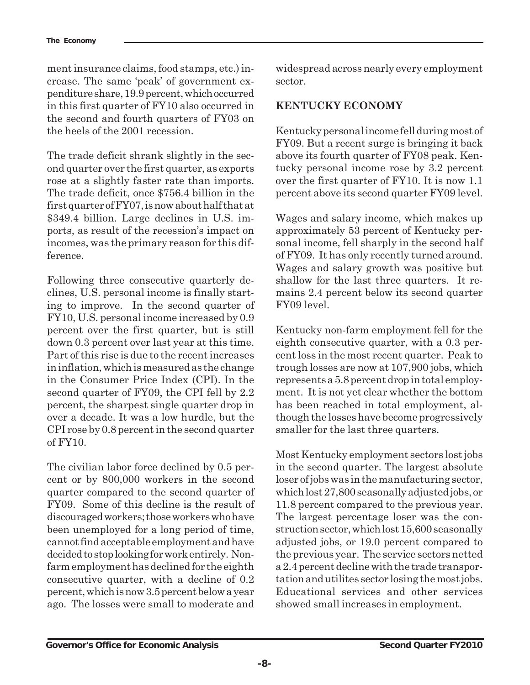ment insurance claims, food stamps, etc.) increase. The same 'peak' of government expenditure share, 19.9 percent, which occurred in this first quarter of FY10 also occurred in the second and fourth quarters of FY03 on the heels of the 2001 recession.

The trade deficit shrank slightly in the second quarter over the first quarter, as exports rose at a slightly faster rate than imports. The trade deficit, once \$756.4 billion in the first quarter of FY07, is now about half that at \$349.4 billion. Large declines in U.S. imports, as result of the recession's impact on incomes, was the primary reason for this difference.

Following three consecutive quarterly declines, U.S. personal income is finally starting to improve. In the second quarter of FY10, U.S. personal income increased by 0.9 percent over the first quarter, but is still down 0.3 percent over last year at this time. Part of this rise is due to the recent increases in inflation, which is measured as the change in the Consumer Price Index (CPI). In the second quarter of FY09, the CPI fell by 2.2 percent, the sharpest single quarter drop in over a decade. It was a low hurdle, but the CPI rose by 0.8 percent in the second quarter of FY10.

The civilian labor force declined by 0.5 percent or by 800,000 workers in the second quarter compared to the second quarter of FY09. Some of this decline is the result of discouraged workers; those workers who have been unemployed for a long period of time, cannot find acceptable employment and have decided to stop looking for work entirely. Nonfarm employment has declined for the eighth consecutive quarter, with a decline of 0.2 percent, which is now 3.5 percent below a year ago. The losses were small to moderate and

widespread across nearly every employment sector.

### **KENTUCKY ECONOMY**

Kentucky personal income fell during most of FY09. But a recent surge is bringing it back above its fourth quarter of FY08 peak. Kentucky personal income rose by 3.2 percent over the first quarter of FY10. It is now 1.1 percent above its second quarter FY09 level.

Wages and salary income, which makes up approximately 53 percent of Kentucky personal income, fell sharply in the second half of FY09. It has only recently turned around. Wages and salary growth was positive but shallow for the last three quarters. It remains 2.4 percent below its second quarter FY09 level.

Kentucky non-farm employment fell for the eighth consecutive quarter, with a 0.3 percent loss in the most recent quarter. Peak to trough losses are now at 107,900 jobs, which represents a 5.8 percent drop in total employment. It is not yet clear whether the bottom has been reached in total employment, although the losses have become progressively smaller for the last three quarters.

Most Kentucky employment sectors lost jobs in the second quarter. The largest absolute loser of jobs was in the manufacturing sector, which lost 27,800 seasonally adjusted jobs, or 11.8 percent compared to the previous year. The largest percentage loser was the construction sector, which lost 15,600 seasonally adjusted jobs, or 19.0 percent compared to the previous year. The service sectors netted a 2.4 percent decline with the trade transportation and utilites sector losing the most jobs. Educational services and other services showed small increases in employment.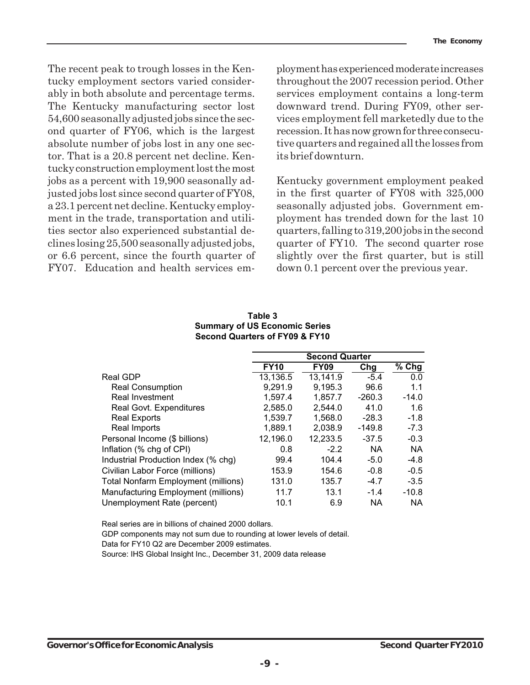ably in both absolute and percentage terms. services employment contains a long-term The recent peak to trough losses in the Kentucky employment sectors varied consider-The Kentucky manufacturing sector lost 54,600 seasonally adjusted jobs since the second quarter of FY06, which is the largest absolute number of jobs lost in any one sector. That is a 20.8 percent net decline. Kentucky construction employment lost the most jobs as a percent with 19,900 seasonally adjusted jobs lost since second quarter of FY08, a 23.1 percent net decline. Kentucky employment in the trade, transportation and utilities sector also experienced substantial declines losing 25,500 seasonally adjusted jobs, or 6.6 percent, since the fourth quarter of FY07. Education and health services em-

ployment has experienced moderate increases throughout the 2007 recession period. Other services employment contains a long-term downward trend. During FY09, other services employment fell marketedly due to the recession. It has now grown for three consecutive quarters and regained all the losses from its brief downturn.

Kentucky government employment peaked in the first quarter of FY08 with 325,000 seasonally adjusted jobs. Government employment has trended down for the last 10 quarters, falling to 319,200 jobs in the second quarter of FY10. The second quarter rose slightly over the first quarter, but is still down 0.1 percent over the previous year.

| <b>Second Quarters of FY09 &amp; FY10</b>  |             |                       |          |                     |  |  |  |
|--------------------------------------------|-------------|-----------------------|----------|---------------------|--|--|--|
|                                            |             | <b>Second Quarter</b> |          |                     |  |  |  |
|                                            | <b>FY10</b> | <b>FY09</b>           | Chg      | $\overline{\%}$ Chg |  |  |  |
| Real GDP                                   | 13,136.5    | 13,141.9              | $-5.4$   | 0.0                 |  |  |  |
| <b>Real Consumption</b>                    | 9,291.9     | 9,195.3               | 96.6     | 1.1                 |  |  |  |
| <b>Real Investment</b>                     | 1,597.4     | 1,857.7               | $-260.3$ | $-14.0$             |  |  |  |
| Real Govt. Expenditures                    | 2,585.0     | 2,544.0               | 41.0     | 1.6                 |  |  |  |
| <b>Real Exports</b>                        | 1,539.7     | 1,568.0               | $-28.3$  | $-1.8$              |  |  |  |
| Real Imports                               | 1,889.1     | 2,038.9               | $-149.8$ | $-7.3$              |  |  |  |
| Personal Income (\$ billions)              | 12,196.0    | 12,233.5              | $-37.5$  | $-0.3$              |  |  |  |
| Inflation (% chg of CPI)                   | 0.8         | $-2.2$                | NA.      | <b>NA</b>           |  |  |  |
| Industrial Production Index (% chg)        | 99.4        | 104.4                 | $-5.0$   | $-4.8$              |  |  |  |
| Civilian Labor Force (millions)            | 153.9       | 154.6                 | $-0.8$   | $-0.5$              |  |  |  |
| <b>Total Nonfarm Employment (millions)</b> | 131.0       | 135.7                 | $-4.7$   | $-3.5$              |  |  |  |
| Manufacturing Employment (millions)        | 11.7        | 13.1                  | $-1.4$   | $-10.8$             |  |  |  |
| Unemployment Rate (percent)                | 10.1        | 6.9                   | NA.      | <b>NA</b>           |  |  |  |

**Table 3 Summary of US Economic Series**

Real series are in billions of chained 2000 dollars.

GDP components may not sum due to rounding at lower levels of detail.

Data for FY10 Q2 are December 2009 estimates.

Source: IHS Global Insight Inc., December 31, 2009 data release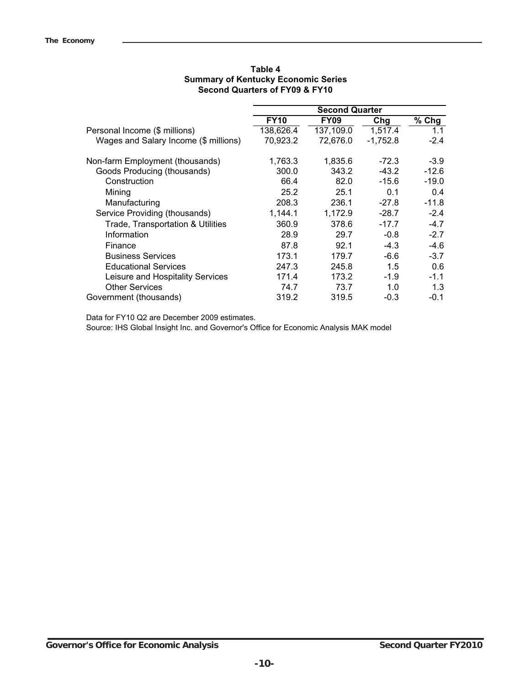|                                       | <b>Second Quarter</b> |             |            |         |  |  |
|---------------------------------------|-----------------------|-------------|------------|---------|--|--|
|                                       | <b>FY10</b>           | <b>FY09</b> | Chg        | $%$ Chg |  |  |
| Personal Income (\$ millions)         | 138,626.4             | 137,109.0   | 1,517.4    | 1.1     |  |  |
| Wages and Salary Income (\$ millions) | 70,923.2              | 72,676.0    | $-1,752.8$ | $-2.4$  |  |  |
| Non-farm Employment (thousands)       | 1,763.3               | 1,835.6     | $-72.3$    | $-3.9$  |  |  |
| Goods Producing (thousands)           | 300.0                 | 343.2       | $-43.2$    | $-12.6$ |  |  |
| Construction                          | 66.4                  | 82.0        | $-15.6$    | $-19.0$ |  |  |
| Mining                                | 25.2                  | 25.1        | 0.1        | 0.4     |  |  |
| Manufacturing                         | 208.3                 | 236.1       | $-27.8$    | $-11.8$ |  |  |
| Service Providing (thousands)         | 1,144.1               | 1,172.9     | $-28.7$    | $-2.4$  |  |  |
| Trade, Transportation & Utilities     | 360.9                 | 378.6       | $-17.7$    | $-4.7$  |  |  |
| Information                           | 28.9                  | 29.7        | $-0.8$     | $-2.7$  |  |  |
| Finance                               | 87.8                  | 92.1        | $-4.3$     | -4.6    |  |  |
| <b>Business Services</b>              | 173.1                 | 179.7       | -6.6       | $-3.7$  |  |  |
| <b>Educational Services</b>           | 247.3                 | 245.8       | 1.5        | 0.6     |  |  |
| Leisure and Hospitality Services      | 171.4                 | 173.2       | $-1.9$     | $-1.1$  |  |  |
| <b>Other Services</b>                 | 74.7                  | 73.7        | 1.0        | 1.3     |  |  |
| Government (thousands)                | 319.2                 | 319.5       | $-0.3$     | -0.1    |  |  |

#### **Table 4 Summary of Kentucky Economic Series Second Quarters of FY09 & FY10**

Data for FY10 Q2 are December 2009 estimates.

Source: IHS Global Insight Inc. and Governor's Office for Economic Analysis MAK model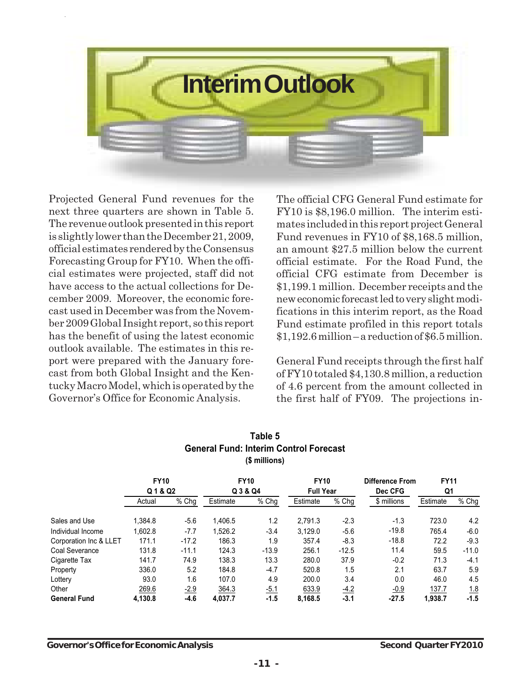

Projected General Fund revenues for the next three quarters are shown in Table 5. The revenue outlook presented in this report is slightly lower than the December 21, 2009, official estimates rendered by the Consensus Forecasting Group for FY10. When the official estimates were projected, staff did not have access to the actual collections for December 2009. Moreover, the economic forecast used in December was from the November 2009 Global Insight report, so this report has the benefit of using the latest economic outlook available. The estimates in this report were prepared with the January forecast from both Global Insight and the Kentucky Macro Model, which is operated by the Governor's Office for Economic Analysis.

The official CFG General Fund estimate for FY10 is \$8,196.0 million. The interim estimates included in this report project General Fund revenues in FY10 of \$8,168.5 million, an amount \$27.5 million below the current official estimate. For the Road Fund, the official CFG estimate from December is \$1,199.1 million. December receipts and the new economic forecast led to very slight modifications in this interim report, as the Road Fund estimate profiled in this report totals \$1,192.6 million – a reduction of \$6.5 million.

General Fund receipts through the first half of FY10 totaled \$4,130.8 million, a reduction of 4.6 percent from the amount collected in the first half of FY09. The projections in-

|                        |                          |         |                         | (\$ millions) |                  |         |                        |             |            |
|------------------------|--------------------------|---------|-------------------------|---------------|------------------|---------|------------------------|-------------|------------|
|                        | <b>FY10</b><br>Q 1 & Q 2 |         | <b>FY10</b><br>Q 3 & Q4 |               | <b>FY10</b>      |         | <b>Difference From</b> | <b>FY11</b> |            |
|                        |                          |         |                         |               | <b>Full Year</b> |         | Dec CFG                | Q1          |            |
|                        | Actual                   | $%$ Chq | Estimate                | % Chg         | Estimate         | % Chg   | \$ millions            | Estimate    | % Chg      |
| Sales and Use          | 1.384.8                  | $-5.6$  | 1.406.5                 | 1.2           | 2.791.3          | $-2.3$  | $-1.3$                 | 723.0       | 4.2        |
| Individual Income      | 1.602.8                  | $-7.7$  | 1,526.2                 | $-3.4$        | 3,129.0          | $-5.6$  | $-19.8$                | 765.4       | $-6.0$     |
| Corporation Inc & LLET | 171.1                    | $-17.2$ | 186.3                   | 1.9           | 357.4            | $-8.3$  | $-18.8$                | 72.2        | $-9.3$     |
| Coal Severance         | 131.8                    | $-11.1$ | 124.3                   | $-13.9$       | 256.1            | $-12.5$ | 11.4                   | 59.5        | $-11.0$    |
| Cigarette Tax          | 141.7                    | 74.9    | 138.3                   | 13.3          | 280.0            | 37.9    | $-0.2$                 | 71.3        | $-4.1$     |
| Property               | 336.0                    | 5.2     | 184.8                   | $-4.7$        | 520.8            | 1.5     | 2.1                    | 63.7        | 5.9        |
| Lottery                | 93.0                     | 1.6     | 107.0                   | 4.9           | 200.0            | 3.4     | 0.0                    | 46.0        | 4.5        |
| Other                  | 269.6                    | $-2.9$  | 364.3                   | $-5.1$        | 633.9            | $-4.2$  | <u>-0.9</u>            | 137.7       | <u>1.8</u> |
| <b>General Fund</b>    | 4,130.8                  | $-4.6$  | 4.037.7                 | $-1.5$        | 8,168.5          | $-3.1$  | $-27.5$                | 1.938.7     | $-1.5$     |

# **Table 5 General Fund: Interim Control Forecast**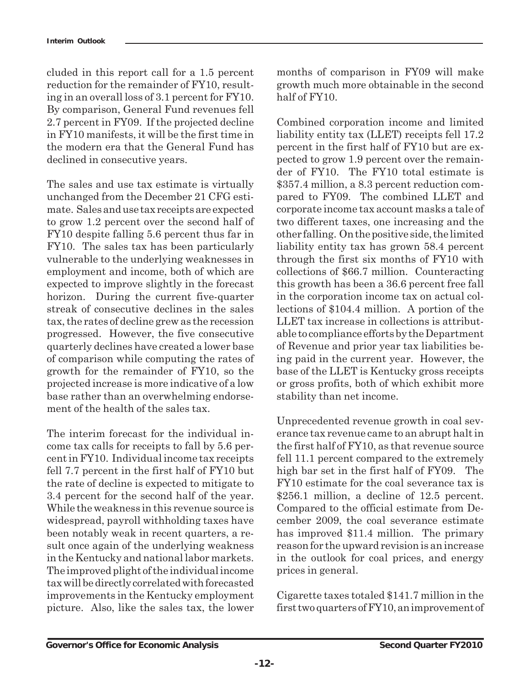cluded in this report call for a 1.5 percent reduction for the remainder of FY10, resulting in an overall loss of 3.1 percent for FY10. By comparison, General Fund revenues fell 2.7 percent in FY09. If the projected decline in FY10 manifests, it will be the first time in the modern era that the General Fund has declined in consecutive years.

The sales and use tax estimate is virtually unchanged from the December 21 CFG estimate. Sales and use tax receipts are expected to grow 1.2 percent over the second half of FY10 despite falling 5.6 percent thus far in FY10. The sales tax has been particularly vulnerable to the underlying weaknesses in employment and income, both of which are expected to improve slightly in the forecast horizon. During the current five-quarter streak of consecutive declines in the sales tax, the rates of decline grew as the recession progressed. However, the five consecutive quarterly declines have created a lower base of comparison while computing the rates of growth for the remainder of FY10, so the projected increase is more indicative of a low base rather than an overwhelming endorsement of the health of the sales tax.

The interim forecast for the individual income tax calls for receipts to fall by 5.6 percent in FY10. Individual income tax receipts fell 7.7 percent in the first half of FY10 but the rate of decline is expected to mitigate to 3.4 percent for the second half of the year. While the weakness in this revenue source is widespread, payroll withholding taxes have been notably weak in recent quarters, a result once again of the underlying weakness in the Kentucky and national labor markets. The improved plight of the individual income tax will be directly correlated with forecasted improvements in the Kentucky employment picture. Also, like the sales tax, the lower months of comparison in FY09 will make growth much more obtainable in the second half of FY10.

Combined corporation income and limited liability entity tax (LLET) receipts fell 17.2 percent in the first half of FY10 but are expected to grow 1.9 percent over the remainder of FY10. The FY10 total estimate is \$357.4 million, a 8.3 percent reduction compared to FY09. The combined LLET and corporate income tax account masks a tale of two different taxes, one increasing and the other falling. On the positive side, the limited liability entity tax has grown 58.4 percent through the first six months of FY10 with collections of \$66.7 million. Counteracting this growth has been a 36.6 percent free fall in the corporation income tax on actual collections of \$104.4 million. A portion of the LLET tax increase in collections is attributable to compliance efforts by the Department of Revenue and prior year tax liabilities being paid in the current year. However, the base of the LLET is Kentucky gross receipts or gross profits, both of which exhibit more stability than net income.

Unprecedented revenue growth in coal severance tax revenue came to an abrupt halt in the first half of FY10, as that revenue source fell 11.1 percent compared to the extremely high bar set in the first half of FY09. The FY10 estimate for the coal severance tax is \$256.1 million, a decline of 12.5 percent. Compared to the official estimate from December 2009, the coal severance estimate has improved \$11.4 million. The primary reason for the upward revision is an increase in the outlook for coal prices, and energy prices in general.

Cigarette taxes totaled \$141.7 million in the first two quarters of FY10, an improvement of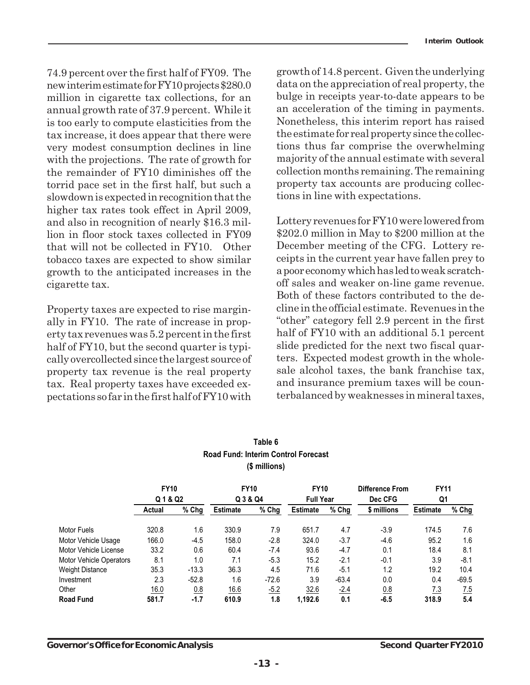million in cigarette tax collections, for an bulge in receipts year-to-date appears to b 74.9 percent over the first half of FY09. The new interim estimate for FY10 projects \$280.0 annual growth rate of 37.9 percent. While it is too early to compute elasticities from the tax increase, it does appear that there were very modest consumption declines in line with the projections. The rate of growth for the remainder of FY10 diminishes off the torrid pace set in the first half, but such a slowdown is expected in recognition that the higher tax rates took effect in April 2009, and also in recognition of nearly \$16.3 million in floor stock taxes collected in FY09 that will not be collected in FY10. Other tobacco taxes are expected to show similar growth to the anticipated increases in the cigarette tax.

Property taxes are expected to rise marginally in FY10. The rate of increase in property tax revenues was 5.2 percent in the first half of FY10, but the second quarter is typically overcollected since the largest source of property tax revenue is the real property tax. Real property taxes have exceeded expectations so far in the first half of FY10 with

growth of 14.8 percent. Given the underlying data on the appreciation of real property, the bulge in receipts year-to-date appears to be an acceleration of the timing in payments. Nonetheless, this interim report has raised the estimate for real property since the collections thus far comprise the overwhelming majority of the annual estimate with several collection months remaining. The remaining property tax accounts are producing collections in line with expectations.

Lottery revenues for FY10 were lowered from \$202.0 million in May to \$200 million at the December meeting of the CFG. Lottery receipts in the current year have fallen prey to a poor economy which has led to weak scratchoff sales and weaker on-line game revenue. Both of these factors contributed to the decline in the official estimate. Revenues in the "other" category fell 2.9 percent in the first half of FY10 with an additional 5.1 percent slide predicted for the next two fiscal quarters. Expected modest growth in the wholesale alcohol taxes, the bank franchise tax, and insurance premium taxes will be counterbalanced by weaknesses in mineral taxes,

| $$$ millions)                  |                          |         |                         |         |                                 |             |                                   |                   |            |
|--------------------------------|--------------------------|---------|-------------------------|---------|---------------------------------|-------------|-----------------------------------|-------------------|------------|
|                                | <b>FY10</b><br>Q 1 & Q 2 |         | <b>FY10</b><br>Q 3 & Q4 |         | <b>FY10</b><br><b>Full Year</b> |             | <b>Difference From</b><br>Dec CFG | <b>FY11</b><br>Q1 |            |
|                                | Actual                   | % Chg   | <b>Estimate</b>         | % Chg   | <b>Estimate</b>                 | % Chg       | \$ millions                       | <b>Estimate</b>   | % Chg      |
| <b>Motor Fuels</b>             | 320.8                    | 1.6     | 330.9                   | 7.9     | 651.7                           | 4.7         | $-3.9$                            | 174.5             | 7.6        |
| Motor Vehicle Usage            | 166.0                    | $-4.5$  | 158.0                   | $-2.8$  | 324.0                           | $-3.7$      | $-4.6$                            | 95.2              | 1.6        |
| Motor Vehicle License          | 33.2                     | 0.6     | 60.4                    | -7.4    | 93.6                            | $-4.7$      | 0.1                               | 18.4              | 8.1        |
| <b>Motor Vehicle Operators</b> | 8.1                      | 1.0     | 7.1                     | $-5.3$  | 15.2                            | $-2.1$      | $-0.1$                            | 3.9               | $-8.1$     |
| <b>Weight Distance</b>         | 35.3                     | $-13.3$ | 36.3                    | 4.5     | 71.6                            | $-5.1$      | 1.2                               | 19.2              | 10.4       |
| Investment                     | 2.3                      | $-52.8$ | 1.6                     | $-72.6$ | 3.9                             | $-63.4$     | 0.0                               | 0.4               | $-69.5$    |
| Other                          | 16.0                     | 0.8     | 16.6                    | $-5.2$  | 32.6                            | <u>-2.4</u> | 0.8                               | 7.3               | <u>7.5</u> |
| <b>Road Fund</b>               | 581.7                    | $-1.7$  | 610.9                   | 1.8     | 1.192.6                         | 0.1         | $-6.5$                            | 318.9             | 5.4        |

# **Table 6 Road Fund: Interim Control Forecast**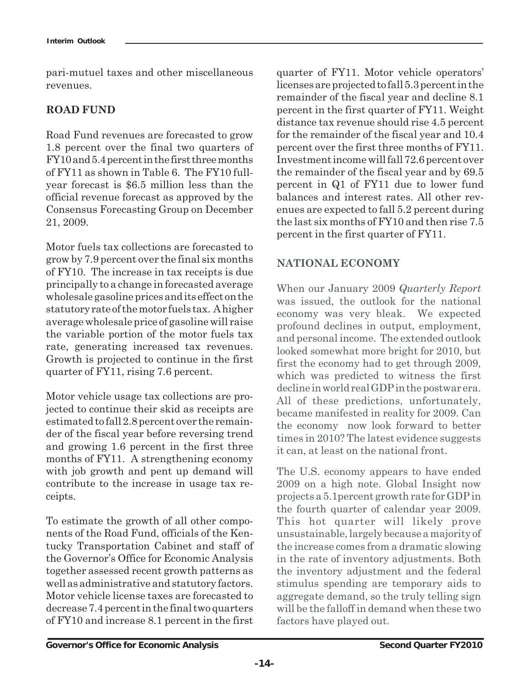pari-mutuel taxes and other miscellaneous revenues.

### **ROAD FUND**

Road Fund revenues are forecasted to grow 1.8 percent over the final two quarters of FY10 and 5.4 percent in the first three months of FY11 as shown in Table 6. The FY10 fullyear forecast is \$6.5 million less than the official revenue forecast as approved by the Consensus Forecasting Group on December 21, 2009.

Motor fuels tax collections are forecasted to grow by 7.9 percent over the final six months of FY10. The increase in tax receipts is due principally to a change in forecasted average wholesale gasoline prices and its effect on the statutory rate of the motor fuels tax. A higher average wholesale price of gasoline will raise the variable portion of the motor fuels tax rate, generating increased tax revenues. Growth is projected to continue in the first quarter of FY11, rising 7.6 percent.

Motor vehicle usage tax collections are projected to continue their skid as receipts are estimated to fall 2.8 percent over the remainder of the fiscal year before reversing trend and growing 1.6 percent in the first three months of FY11. A strengthening economy with job growth and pent up demand will contribute to the increase in usage tax receipts.

To estimate the growth of all other components of the Road Fund, officials of the Kentucky Transportation Cabinet and staff of the Governor's Office for Economic Analysis together assessed recent growth patterns as well as administrative and statutory factors. Motor vehicle license taxes are forecasted to decrease 7.4 percent in the final two quarters of FY10 and increase 8.1 percent in the first

quarter of FY11. Motor vehicle operators' licenses are projected to fall 5.3 percent in the remainder of the fiscal year and decline 8.1 percent in the first quarter of FY11. Weight distance tax revenue should rise 4.5 percent for the remainder of the fiscal year and 10.4 percent over the first three months of FY11. Investment income will fall 72.6 percent over the remainder of the fiscal year and by 69.5 percent in Q1 of FY11 due to lower fund balances and interest rates. All other revenues are expected to fall 5.2 percent during the last six months of FY10 and then rise 7.5 percent in the first quarter of FY11.

### **NATIONAL ECONOMY**

When our January 2009 *Quarterly Report* was issued, the outlook for the national economy was very bleak. We expected profound declines in output, employment, and personal income. The extended outlook looked somewhat more bright for 2010, but first the economy had to get through 2009, which was predicted to witness the first decline in world real GDP in the postwar era. All of these predictions, unfortunately, became manifested in reality for 2009. Can the economy now look forward to better times in 2010? The latest evidence suggests it can, at least on the national front.

The U.S. economy appears to have ended 2009 on a high note. Global Insight now projects a 5.1percent growth rate for GDP in the fourth quarter of calendar year 2009. This hot quarter will likely prove unsustainable, largely because a majority of the increase comes from a dramatic slowing in the rate of inventory adjustments. Both the inventory adjustment and the federal stimulus spending are temporary aids to aggregate demand, so the truly telling sign will be the falloff in demand when these two factors have played out.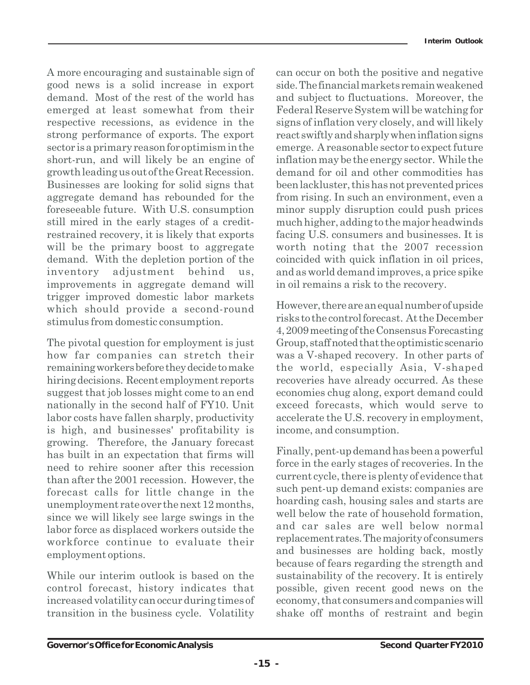demand. Most of the rest of the world has and subject to fluctuations. Moreover, the A more encouraging and sustainable sign of good news is a solid increase in export emerged at least somewhat from their respective recessions, as evidence in the strong performance of exports. The export sector is a primary reason for optimism in the short-run, and will likely be an engine of growth leading us out of the Great Recession. Businesses are looking for solid signs that aggregate demand has rebounded for the foreseeable future. With U.S. consumption still mired in the early stages of a creditrestrained recovery, it is likely that exports will be the primary boost to aggregate demand. With the depletion portion of the inventory adjustment behind us, improvements in aggregate demand will trigger improved domestic labor markets which should provide a second-round stimulus from domestic consumption.

The pivotal question for employment is just how far companies can stretch their remaining workers before they decide to make hiring decisions. Recent employment reports suggest that job losses might come to an end nationally in the second half of FY10. Unit labor costs have fallen sharply, productivity is high, and businesses' profitability is growing. Therefore, the January forecast has built in an expectation that firms will need to rehire sooner after this recession than after the 2001 recession. However, the forecast calls for little change in the unemployment rate over the next 12 months, since we will likely see large swings in the labor force as displaced workers outside the workforce continue to evaluate their employment options.

While our interim outlook is based on the control forecast, history indicates that increased volatility can occur during times of transition in the business cycle. Volatility

can occur on both the positive and negative side. The financial markets remain weakened and subject to fluctuations. Moreover, the Federal Reserve System will be watching for signs of inflation very closely, and will likely react swiftly and sharply when inflation signs emerge. A reasonable sector to expect future inflation may be the energy sector. While the demand for oil and other commodities has been lackluster, this has not prevented prices from rising. In such an environment, even a minor supply disruption could push prices much higher, adding to the major headwinds facing U.S. consumers and businesses. It is worth noting that the 2007 recession coincided with quick inflation in oil prices, and as world demand improves, a price spike in oil remains a risk to the recovery.

However, there are an equal number of upside risks to the control forecast. At the December 4, 2009 meeting of the Consensus Forecasting Group, staff noted that the optimistic scenario was a V-shaped recovery. In other parts of the world, especially Asia, V-shaped recoveries have already occurred. As these economies chug along, export demand could exceed forecasts, which would serve to accelerate the U.S. recovery in employment, income, and consumption.

Finally, pent-up demand has been a powerful force in the early stages of recoveries. In the current cycle, there is plenty of evidence that such pent-up demand exists: companies are hoarding cash, housing sales and starts are well below the rate of household formation, and car sales are well below normal replacement rates. The majority of consumers and businesses are holding back, mostly because of fears regarding the strength and sustainability of the recovery. It is entirely possible, given recent good news on the economy, that consumers and companies will shake off months of restraint and begin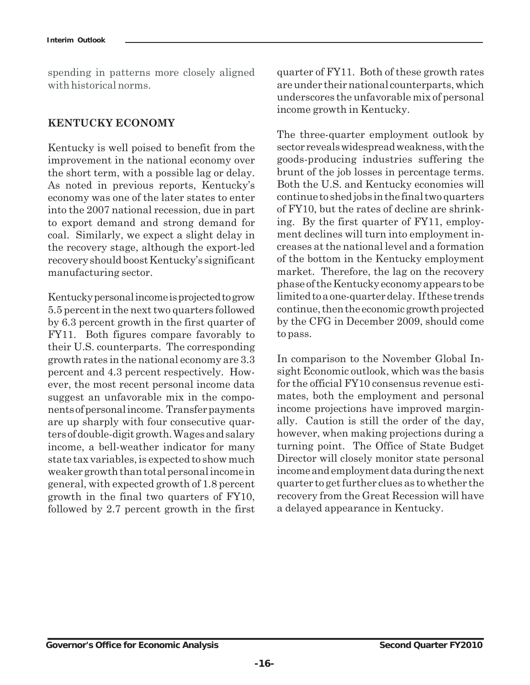spending in patterns more closely aligned with historical norms.

#### **KENTUCKY ECONOMY**

Kentucky is well poised to benefit from the improvement in the national economy over the short term, with a possible lag or delay. As noted in previous reports, Kentucky's economy was one of the later states to enter into the 2007 national recession, due in part to export demand and strong demand for coal. Similarly, we expect a slight delay in the recovery stage, although the export-led recovery should boost Kentucky's significant manufacturing sector.

Kentucky personal income is projected to grow 5.5 percent in the next two quarters followed by 6.3 percent growth in the first quarter of FY11. Both figures compare favorably to their U.S. counterparts. The corresponding growth rates in the national economy are 3.3 percent and 4.3 percent respectively. However, the most recent personal income data suggest an unfavorable mix in the components of personal income. Transfer payments are up sharply with four consecutive quarters of double-digit growth. Wages and salary income, a bell-weather indicator for many state tax variables, is expected to show much weaker growth than total personal income in general, with expected growth of 1.8 percent growth in the final two quarters of FY10, followed by 2.7 percent growth in the first quarter of FY11. Both of these growth rates are under their national counterparts, which underscores the unfavorable mix of personal income growth in Kentucky.

The three-quarter employment outlook by sector reveals widespread weakness, with the goods-producing industries suffering the brunt of the job losses in percentage terms. Both the U.S. and Kentucky economies will continue to shed jobs in the final two quarters of FY10, but the rates of decline are shrinking. By the first quarter of FY11, employment declines will turn into employment increases at the national level and a formation of the bottom in the Kentucky employment market. Therefore, the lag on the recovery phase of the Kentucky economy appears to be limited to a one-quarter delay. If these trends continue, then the economic growth projected by the CFG in December 2009, should come to pass.

In comparison to the November Global Insight Economic outlook, which was the basis for the official FY10 consensus revenue estimates, both the employment and personal income projections have improved marginally. Caution is still the order of the day, however, when making projections during a turning point. The Office of State Budget Director will closely monitor state personal income and employment data during the next quarter to get further clues as to whether the recovery from the Great Recession will have a delayed appearance in Kentucky.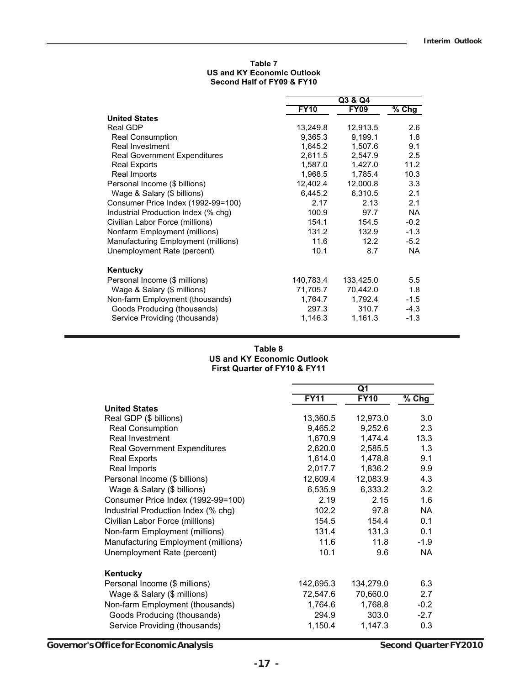| Table 7                           |
|-----------------------------------|
| <b>US and KY Economic Outlook</b> |
| Second Half of FY09 & FY10        |

|                                     |             | Q3 & Q4     |           |  |
|-------------------------------------|-------------|-------------|-----------|--|
|                                     | <b>FY10</b> | <b>FY09</b> | $%$ Chg   |  |
| <b>United States</b>                |             |             |           |  |
| Real GDP                            | 13,249.8    | 12,913.5    | 2.6       |  |
| Real Consumption                    | 9,365.3     | 9,199.1     | 1.8       |  |
| Real Investment                     | 1,645.2     | 1,507.6     | 9.1       |  |
| <b>Real Government Expenditures</b> | 2,611.5     | 2,547.9     | 2.5       |  |
| <b>Real Exports</b>                 | 1,587.0     | 1,427.0     | 11.2      |  |
| Real Imports                        | 1,968.5     | 1,785.4     | 10.3      |  |
| Personal Income (\$ billions)       | 12,402.4    | 12,000.8    | 3.3       |  |
| Wage & Salary (\$ billions)         | 6,445.2     | 6,310.5     | 2.1       |  |
| Consumer Price Index (1992-99=100)  | 2.17        | 2.13        | 2.1       |  |
| Industrial Production Index (% chg) | 100.9       | 97.7        | <b>NA</b> |  |
| Civilian Labor Force (millions)     | 154.1       | 154.5       | $-0.2$    |  |
| Nonfarm Employment (millions)       | 131.2       | 132.9       | $-1.3$    |  |
| Manufacturing Employment (millions) | 11.6        | 12.2        | $-5.2$    |  |
| Unemployment Rate (percent)         | 10.1        | 8.7         | NA        |  |
| Kentucky                            |             |             |           |  |
| Personal Income (\$ millions)       | 140,783.4   | 133,425.0   | 5.5       |  |
| Wage & Salary (\$ millions)         | 71,705.7    | 70,442.0    | 1.8       |  |
| Non-farm Employment (thousands)     | 1,764.7     | 1,792.4     | $-1.5$    |  |
| Goods Producing (thousands)         | 297.3       | 310.7       | $-4.3$    |  |
| Service Providing (thousands)       | 1,146.3     | 1,161.3     | $-1.3$    |  |

#### **Table 8 US and KY Economic Outlook First Quarter of FY10 & FY11**

|                                     |             | Q1          |                     |
|-------------------------------------|-------------|-------------|---------------------|
|                                     | <b>FY11</b> | <b>FY10</b> | $\overline{\%}$ Chg |
| <b>United States</b>                |             |             |                     |
| Real GDP (\$ billions)              | 13,360.5    | 12,973.0    | 3.0                 |
| <b>Real Consumption</b>             | 9,465.2     | 9,252.6     | 2.3                 |
| Real Investment                     | 1,670.9     | 1,474.4     | 13.3                |
| <b>Real Government Expenditures</b> | 2,620.0     | 2,585.5     | 1.3                 |
| Real Exports                        | 1,614.0     | 1,478.8     | 9.1                 |
| Real Imports                        | 2,017.7     | 1,836.2     | 9.9                 |
| Personal Income (\$ billions)       | 12,609.4    | 12,083.9    | 4.3                 |
| Wage & Salary (\$ billions)         | 6,535.9     | 6,333.2     | 3.2                 |
| Consumer Price Index (1992-99=100)  | 2.19        | 2.15        | 1.6                 |
| Industrial Production Index (% chg) | 102.2       | 97.8        | <b>NA</b>           |
| Civilian Labor Force (millions)     | 154.5       | 154.4       | 0.1                 |
| Non-farm Employment (millions)      | 131.4       | 131.3       | 0.1                 |
| Manufacturing Employment (millions) | 11.6        | 11.8        | $-1.9$              |
| Unemployment Rate (percent)         | 10.1        | 9.6         | NA                  |
| Kentucky                            |             |             |                     |
| Personal Income (\$ millions)       | 142,695.3   | 134,279.0   | 6.3                 |
| Wage & Salary (\$ millions)         | 72,547.6    | 70,660.0    | 2.7                 |
| Non-farm Employment (thousands)     | 1,764.6     | 1,768.8     | $-0.2$              |
| Goods Producing (thousands)         | 294.9       | 303.0       | $-2.7$              |
| Service Providing (thousands)       | 1,150.4     | 1,147.3     | 0.3                 |
|                                     |             |             |                     |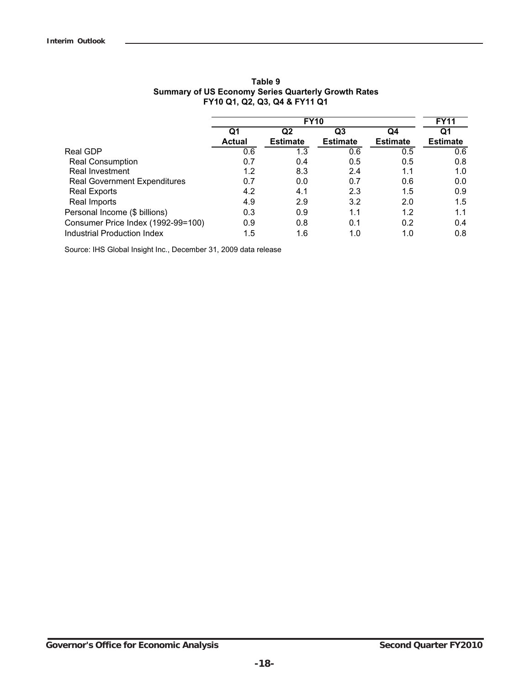|                                     |               |                 | <b>FY11</b>     |                 |                 |
|-------------------------------------|---------------|-----------------|-----------------|-----------------|-----------------|
|                                     | Q1            | Q2              | Q3              | Q4              | Q1              |
|                                     | <b>Actual</b> | <b>Estimate</b> | <b>Estimate</b> | <b>Estimate</b> | <b>Estimate</b> |
| Real GDP                            | 0.6           | 1.3             | 0.6             | 0.5             | 0.6             |
| Real Consumption                    | 0.7           | 0.4             | 0.5             | 0.5             | 0.8             |
| Real Investment                     | 1.2           | 8.3             | 2.4             | 1.1             | 1.0             |
| <b>Real Government Expenditures</b> | 0.7           | 0.0             | 0.7             | 0.6             | 0.0             |
| <b>Real Exports</b>                 | 4.2           | 4.1             | 2.3             | 1.5             | 0.9             |
| Real Imports                        | 4.9           | 2.9             | 3.2             | 2.0             | 1.5             |
| Personal Income (\$ billions)       | 0.3           | 0.9             | 1.1             | 1.2             | 1.1             |
| Consumer Price Index (1992-99=100)  | 0.9           | 0.8             | 0.1             | 0.2             | 0.4             |
| Industrial Production Index         | 1.5           | 1.6             | 1.0             | 1.0             | 0.8             |

#### **Table 9 Summary of US Economy Series Quarterly Growth Rates FY10 Q1, Q2, Q3, Q4 & FY11 Q1**

Source: IHS Global Insight Inc., December 31, 2009 data release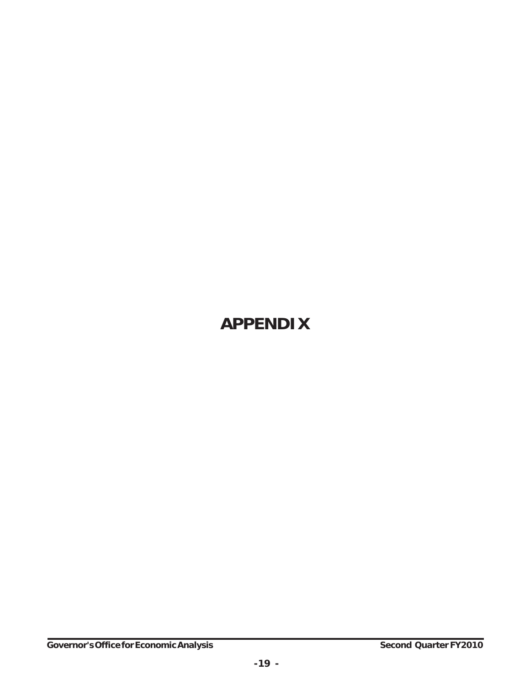# **APPENDIX**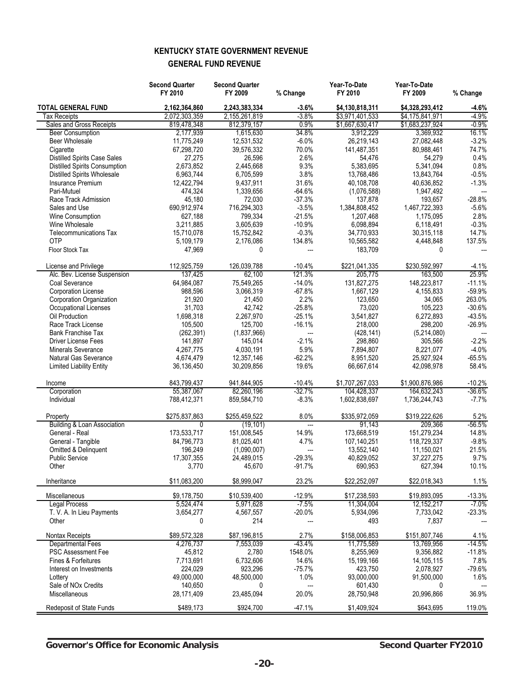#### **KENTUCKY STATE GOVERNMENT REVENUE GENERAL FUND REVENUE**

|                                      | <b>Second Quarter</b><br>FY 2010 | <b>Second Quarter</b><br>FY 2009 | % Change | Year-To-Date<br>FY 2010 | Year-To-Date<br>FY 2009 | % Change  |
|--------------------------------------|----------------------------------|----------------------------------|----------|-------------------------|-------------------------|-----------|
| <b>TOTAL GENERAL FUND</b>            | 2,162,364,860                    | 2,243,383,334                    | $-3.6\%$ | \$4,130,818,311         | \$4,328,293,412         | $-4.6%$   |
| <b>Tax Receipts</b>                  | 2,072,303,359                    | 2,155,261,819                    | $-3.8%$  | \$3,971,401,533         | \$4,175,841,971         | $-4.9%$   |
| Sales and Gross Receipts             | 819,478,348                      | 812,379,157                      | 0.9%     | \$1,667,630,417         | \$1,683,237,924         | $-0.9%$   |
| <b>Beer Consumption</b>              | 2,177,939                        | 1,615,630                        | 34.8%    | 3,912,229               | 3,369,932               | 16.1%     |
| <b>Beer Wholesale</b>                | 11,775,249                       | 12,531,532                       | $-6.0%$  | 26,219,143              | 27,082,448              | $-3.2%$   |
| Cigarette                            | 67,298,720                       | 39,576,332                       | 70.0%    | 141,487,351             | 80,988,461              | 74.7%     |
| <b>Distilled Spirits Case Sales</b>  | 27,275                           | 26,596                           | 2.6%     | 54,476                  | 54,279                  | 0.4%      |
| <b>Distilled Spirits Consumption</b> | 2,673,852                        | 2,445,668                        | 9.3%     | 5,383,695               | 5,341,094               | 0.8%      |
| <b>Distilled Spirits Wholesale</b>   | 6,963,744                        | 6,705,599                        | 3.8%     | 13,768,486              | 13,843,764              | $-0.5%$   |
| Insurance Premium                    | 12.422.794                       | 9,437,911                        | 31.6%    | 40,108,708              | 40,636,852              | $-1.3%$   |
| Pari-Mutuel                          | 474,324                          | 1,339,656                        | $-64.6%$ | (1,076,588)             | 1,947,492               |           |
| Race Track Admission                 | 45,180                           | 72,030                           | $-37.3%$ | 137,878                 | 193,657                 | $-28.8%$  |
| Sales and Use                        | 690,912,974                      | 716,294,303                      | $-3.5%$  | 1,384,808,452           | 1,467,722,393           | $-5.6%$   |
| Wine Consumption                     | 627,188                          | 799,334                          | $-21.5%$ | 1,207,468               | 1,175,095               | 2.8%      |
| Wine Wholesale                       | 3,211,885                        | 3,605,639                        | $-10.9%$ | 6,098,894               | 6,118,491               | $-0.3%$   |
| Telecommunications Tax               | 15,710,078                       | 15,752,842                       | $-0.3%$  | 34,770,933              | 30,315,118              | 14.7%     |
| OTP                                  | 5,109,179                        | 2,176,086                        | 134.8%   | 10,565,582              | 4,448,848               | 137.5%    |
| Floor Stock Tax                      | 47,969                           | 0                                | ---      | 183,709                 | 0                       |           |
|                                      |                                  |                                  |          |                         |                         |           |
| License and Privilege                | 112,925,759                      | 126,039,788                      | $-10.4%$ | \$221,041,335           | \$230,592,997           | $-4.1%$   |
| Alc. Bev. License Suspension         | 137,425                          | 62,100                           | 121.3%   | 205,775                 | 163,500                 | 25.9%     |
| Coal Severance                       | 64,984,087                       | 75,549,265                       | $-14.0%$ | 131,827,275             | 148,223,817             | $-11.1%$  |
| <b>Corporation License</b>           | 988,596                          | 3,066,319                        | $-67.8%$ | 1,667,129               | 4,155,833               | $-59.9%$  |
| Corporation Organization             | 21,920                           | 21,450                           | 2.2%     | 123,650                 | 34,065                  | 263.0%    |
| <b>Occupational Licenses</b>         | 31,703                           | 42,742                           | $-25.8%$ | 73,020                  | 105,223                 | $-30.6%$  |
| Oil Production                       | 1,698,318                        | 2,267,970                        | $-25.1%$ | 3,541,827               | 6,272,893               | $-43.5%$  |
| Race Track License                   | 105,500                          | 125,700                          | $-16.1%$ | 218,000                 | 298,200                 | $-26.9%$  |
| <b>Bank Franchise Tax</b>            | (262, 391)                       | (1,837,966)                      | ---      | (428, 141)              | (5,214,080)             |           |
| Driver License Fees                  | 141,897                          | 145,014                          | $-2.1%$  | 298,860                 | 305,566                 | $-2.2%$   |
| <b>Minerals Severance</b>            | 4,267,775                        | 4,030,191                        | 5.9%     | 7,894,807               | 8,221,077               | $-4.0%$   |
| Natural Gas Severance                | 4,674,479                        | 12,357,146                       | $-62.2%$ | 8,951,520               | 25,927,924              | $-65.5%$  |
| <b>Limited Liability Entity</b>      | 36,136,450                       | 30,209,856                       | 19.6%    | 66,667,614              | 42,098,978              | 58.4%     |
| Income                               | 843,799,437                      | 941,844,905                      | $-10.4%$ | \$1,707,267,033         | \$1,900,876,986         | $-10.2%$  |
| Corporation                          | 55,387,067                       | 82,260,196                       | $-32.7%$ | 104,428,337             | 164,632,243             | $-36.6\%$ |
| Individual                           | 788,412,371                      | 859,584,710                      | $-8.3%$  | 1,602,838,697           | 1,736,244,743           | $-7.7%$   |
| Property                             | \$275,837,863                    | \$255,459,522                    | 8.0%     | \$335,972,059           | \$319,222,626           | 5.2%      |
| Building & Loan Association          | 0                                | (19, 101)                        | ---      | 91,143                  | 209,366                 | $-56.5%$  |
| General - Real                       | 173,533,717                      | 151,008,545                      | 14.9%    | 173,668,519             | 151,279,234             | 14.8%     |
| General - Tangible                   | 84,796,773                       | 81,025,401                       | 4.7%     | 107,140,251             | 118,729,337             | $-9.8%$   |
| Omitted & Delinquent                 | 196,249                          | (1,090,007)                      | ---      | 13,552,140              | 11,150,021              | 21.5%     |
| <b>Public Service</b>                | 17,307,355                       | 24,489,015                       | $-29.3%$ | 40,829,052              | 37,227,275              | 9.7%      |
| Other                                | 3,770                            | 45,670                           | $-91.7%$ | 690,953                 | 627,394                 | 10.1%     |
| Inheritance                          | \$11,083,200                     | \$8,999,047                      | 23.2%    | \$22,252,097            | \$22,018,343            | 1.1%      |
| Miscellaneous                        | \$9,178,750                      | \$10,539,400                     | $-12.9%$ | \$17,238,593            | \$19,893,095            | $-13.3%$  |
| <b>Legal Process</b>                 | 5,524,474                        | 5,971,628                        | $-7.5%$  | 11,304,004              | 12,152,217              | $-7.0\%$  |
| T. V. A. In Lieu Payments            | 3,654,277                        | 4,567,557                        | $-20.0%$ | 5,934,096               | 7,733,042               | $-23.3%$  |
| Other                                | 0                                | 214                              | ---      | 493                     | 7,837                   | ---       |
| Nontax Receipts                      | \$89,572,328                     | \$87,196,815                     | 2.7%     | \$158,006,853           | \$151,807,746           | 4.1%      |
| <b>Departmental Fees</b>             | 4,276,737                        | 7,553,039                        | $-43.4%$ | 11,775,589              | 13,769,956              | $-14.5%$  |
| PSC Assessment Fee                   | 45,812                           | 2,780                            | 1548.0%  | 8,255,969               | 9,356,882               | $-11.8%$  |
| Fines & Forfeitures                  | 7,713,691                        | 6,732,606                        | 14.6%    | 15,199,166              | 14, 105, 115            | 7.8%      |
| Interest on Investments              | 224,029                          | 923,296                          | $-75.7%$ | 423,750                 | 2,078,927               | $-79.6%$  |
| Lottery                              | 49,000,000                       | 48,500,000                       | 1.0%     | 93,000,000              | 91,500,000              | 1.6%      |
| Sale of NO <sub>x</sub> Credits      | 140,650                          | 0                                | ---      | 601,430                 | 0                       |           |
| Miscellaneous                        | 28,171,409                       | 23,485,094                       | 20.0%    | 28,750,948              | 20,996,866              | 36.9%     |
| Redeposit of State Funds             | \$489,173                        | \$924,700                        | $-47.1%$ | \$1,409,924             | \$643,695               | 119.0%    |